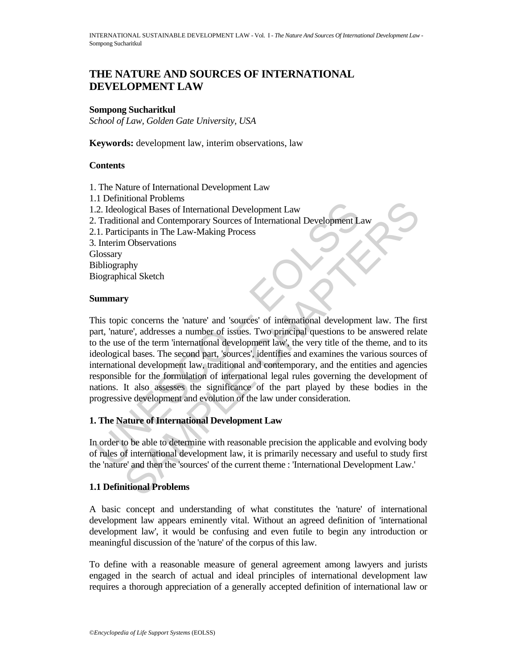# **THE NATURE AND SOURCES OF INTERNATIONAL DEVELOPMENT LAW**

#### **Sompong Sucharitkul**

*School of Law, Golden Gate University, USA* 

**Keywords:** development law, interim observations, law

#### **Contents**

- 1. The Nature of International Development Law
- 1.1 Definitional Problems 1.2. Ideological Bases of International Development Law
- 2. Traditional and Contemporary Sources of International Development Law
- 2.1. Participants in The Law-Making Process
- 3. Interim Observations

**Glossary Bibliography** 

Biographical Sketch

#### **Summary**

To Contain an Hotochara<br>
2. Ideological Bases of International Development Law<br>
2. Ideological Bases of International Development Lam<br>
1.1. Participants in The Law-Making Process<br>
International Development L.<br>
1.1. Partici monal rootons<br>togical Bases of International Development Law<br>onal and Contemporary Sources of International Development Law<br>cipants in The Law-Making Process<br>(1) Observations<br>(1) Observations<br>(2) Observations<br>(2) Observati This topic concerns the 'nature' and 'sources' of international development law. The first part, 'nature', addresses a number of issues. Two principal questions to be answered relate to the use of the term 'international development law', the very title of the theme, and to its ideological bases. The second part, 'sources', identifies and examines the various sources of international development law, traditional and contemporary, and the entities and agencies responsible for the formulation of international legal rules governing the development of nations. It also assesses the significance of the part played by these bodies in the progressive development and evolution of the law under consideration.

#### **1. The Nature of International Development Law**

In order to be able to determine with reasonable precision the applicable and evolving body of rules of international development law, it is primarily necessary and useful to study first the 'nature' and then the 'sources' of the current theme : 'International Development Law.'

# **1.1 Definitional Problems**

A basic concept and understanding of what constitutes the 'nature' of international development law appears eminently vital. Without an agreed definition of 'international development law', it would be confusing and even futile to begin any introduction or meaningful discussion of the 'nature' of the corpus of this law.

To define with a reasonable measure of general agreement among lawyers and jurists engaged in the search of actual and ideal principles of international development law requires a thorough appreciation of a generally accepted definition of international law or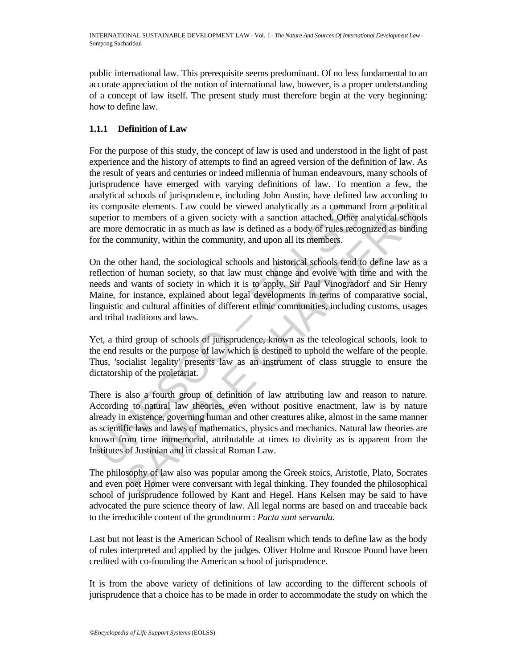public international law. This prerequisite seems predominant. Of no less fundamental to an accurate appreciation of the notion of international law, however, is a proper understanding of a concept of law itself. The present study must therefore begin at the very beginning: how to define law.

# **1.1.1 Definition of Law**

For the purpose of this study, the concept of law is used and understood in the light of past experience and the history of attempts to find an agreed version of the definition of law. As the result of years and centuries or indeed millennia of human endeavours, many schools of jurisprudence have emerged with varying definitions of law. To mention a few, the analytical schools of jurisprudence, including John Austin, have defined law according to its composite elements. Law could be viewed analytically as a command from a political superior to members of a given society with a sanction attached. Other analytical schools are more democratic in as much as law is defined as a body of rules recognized as binding for the community, within the community, and upon all its members.

On the other hand, the sociological schools and historical schools tend to define law as a reflection of human society, so that law must change and evolve with time and with the needs and wants of society in which it is to apply. Sir Paul Vinogradorf and Sir Henry Maine, for instance, explained about legal developments in terms of comparative social, linguistic and cultural affinities of different ethnic communities, including customs, usages and tribal traditions and laws.

Yet, a third group of schools of jurisprudence, known as the teleological schools, look to the end results or the purpose of law which is destined to uphold the welfare of the people. Thus, 'socialist legality' presents law as an instrument of class struggle to ensure the dictatorship of the proletariat.

s composite elements. Law could be viewed analytically as a comman<br>operior to members of a given society with a sanction attached. Other re more democratic in as much as law is defined as a body of rules reco<br>r the communi osite elements. Law could be viewed analytically as a command from a politic to members of a given society with a sanction attached. Other analytical schoof community, within the community, and upon all its members. the me There is also a fourth group of definition of law attributing law and reason to nature. According to natural law theories, even without positive enactment, law is by nature already in existence, governing human and other creatures alike, almost in the same manner as scientific laws and laws of mathematics, physics and mechanics. Natural law theories are known from time immemorial, attributable at times to divinity as is apparent from the Institutes of Justinian and in classical Roman Law.

The philosophy of law also was popular among the Greek stoics, Aristotle, Plato, Socrates and even poet Homer were conversant with legal thinking. They founded the philosophical school of jurisprudence followed by Kant and Hegel. Hans Kelsen may be said to have advocated the pure science theory of law. All legal norms are based on and traceable back to the irreducible content of the grundtnorm : *Pacta sunt servanda.* 

Last but not least is the American School of Realism which tends to define law as the body of rules interpreted and applied by the judges. Oliver Holme and Roscoe Pound have been credited with co-founding the American school of jurisprudence.

It is from the above variety of definitions of law according to the different schools of jurisprudence that a choice has to be made in order to accommodate the study on which the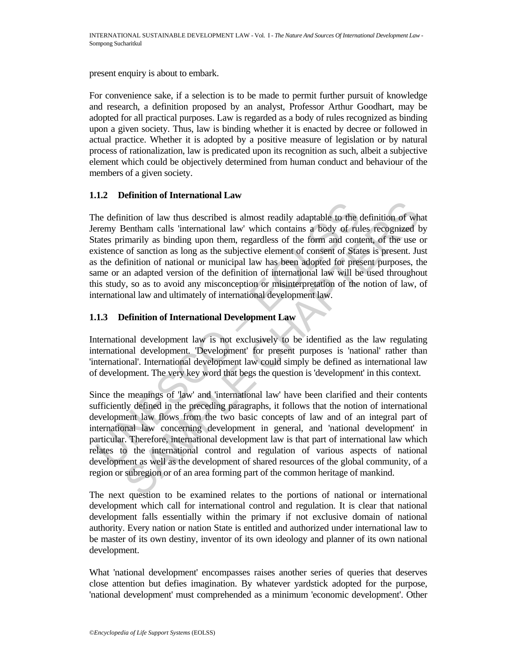present enquiry is about to embark.

For convenience sake, if a selection is to be made to permit further pursuit of knowledge and research, a definition proposed by an analyst, Professor Arthur Goodhart, may be adopted for all practical purposes. Law is regarded as a body of rules recognized as binding upon a given society. Thus, law is binding whether it is enacted by decree or followed in actual practice. Whether it is adopted by a positive measure of legislation or by natural process of rationalization, law is predicated upon its recognition as such, albeit a subjective element which could be objectively determined from human conduct and behaviour of the members of a given society.

# **1.1.2 Definition of International Law**

the definition of law thus described is almost readily adaptable to the cremy Bentham calls 'international law' which contains a body of rulates primarily as binding upon them, regardless of the form and contisience of san ition of law thus described is almost readily adaptable to the definition of when<br>the sentham calls international law' which contains a body of rules recognized the<br>marily as binding upon them, regardless of the form and c The definition of law thus described is almost readily adaptable to the definition of what Jeremy Bentham calls 'international law' which contains a body of rules recognized by States primarily as binding upon them, regardless of the form and content, of the use or existence of sanction as long as the subjective element of consent of States is present. Just as the definition of national or municipal law has been adopted for present purposes, the same or an adapted version of the definition of international law will be used throughout this study, so as to avoid any misconception or misinterpretation of the notion of law, of international law and ultimately of international development law.

# **1.1.3 Definition of International Development Law**

International development law is not exclusively to be identified as the law regulating international development. 'Development' for present purposes is 'national' rather than 'international'. International development law could simply be defined as international law of development. The very key word that begs the question is 'development' in this context.

Since the meanings of 'law' and 'international law' have been clarified and their contents sufficiently defined in the preceding paragraphs, it follows that the notion of international development law flows from the two basic concepts of law and of an integral part of international law concerning development in general, and 'national development' in particular. Therefore, international development law is that part of international law which relates to the international control and regulation of various aspects of national development as well as the development of shared resources of the global community, of a region or subregion or of an area forming part of the common heritage of mankind.

The next question to be examined relates to the portions of national or international development which call for international control and regulation. It is clear that national development falls essentially within the primary if not exclusive domain of national authority. Every nation or nation State is entitled and authorized under international law to be master of its own destiny, inventor of its own ideology and planner of its own national development.

What 'national development' encompasses raises another series of queries that deserves close attention but defies imagination. By whatever yardstick adopted for the purpose, 'national development' must comprehended as a minimum 'economic development'. Other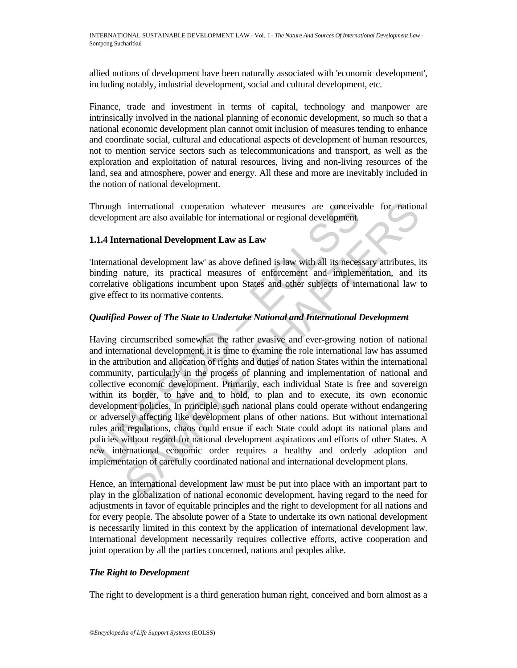allied notions of development have been naturally associated with 'economic development', including notably, industrial development, social and cultural development, etc.

Finance, trade and investment in terms of capital, technology and manpower are intrinsically involved in the national planning of economic development, so much so that a national economic development plan cannot omit inclusion of measures tending to enhance and coordinate social, cultural and educational aspects of development of human resources, not to mention service sectors such as telecommunications and transport, as well as the exploration and exploitation of natural resources, living and non-living resources of the land, sea and atmosphere, power and energy. All these and more are inevitably included in the notion of national development.

Through international cooperation whatever measures are conceivable for national development are also available for international or regional development.

# **1.1.4 International Development Law as Law**

'International development law' as above defined is law with all its necessary attributes, its binding nature, its practical measures of enforcement and implementation, and its correlative obligations incumbent upon States and other subjects of international law to give effect to its normative contents.

# *Qualified Power of The State to Undertake National and International Development*

hrough international cooperation whatever measures are conceivated evelopment are also available for international or regional development.<br> **1.4 International Development Law as Law**<br> **1.4 International Development Law as** international cooperation whatever measures are conceivable for nation-<br>nent are also available for international or regional development.<br> **Ernational Development Law as Law**<br>
small development law' as above defined is la Having circumscribed somewhat the rather evasive and ever-growing notion of national and international development, it is time to examine the role international law has assumed in the attribution and allocation of rights and duties of nation States within the international community, particularly in the process of planning and implementation of national and collective economic development. Primarily, each individual State is free and sovereign within its border, to have and to hold, to plan and to execute, its own economic development policies. In principle, such national plans could operate without endangering or adversely affecting like development plans of other nations. But without international rules and regulations, chaos could ensue if each State could adopt its national plans and policies without regard for national development aspirations and efforts of other States. A new international economic order requires a healthy and orderly adoption and implementation of carefully coordinated national and international development plans.

Hence, an international development law must be put into place with an important part to play in the globalization of national economic development, having regard to the need for adjustments in favor of equitable principles and the right to development for all nations and for every people. The absolute power of a State to undertake its own national development is necessarily limited in this context by the application of international development law. International development necessarily requires collective efforts, active cooperation and joint operation by all the parties concerned, nations and peoples alike.

# *The Right to Development*

The right to development is a third generation human right, conceived and born almost as a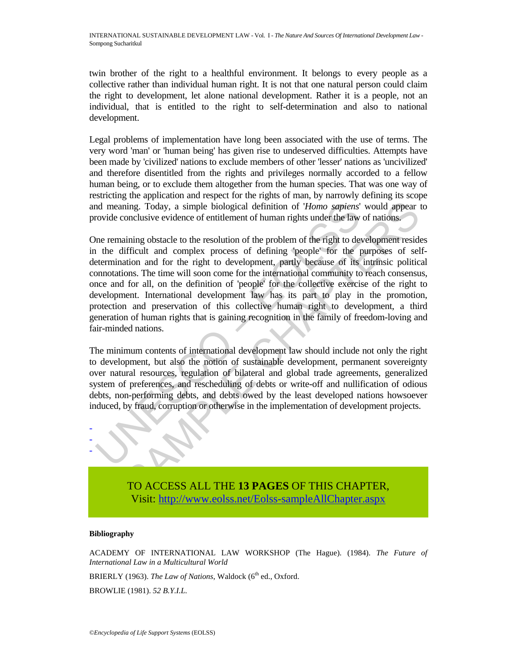twin brother of the right to a healthful environment. It belongs to every people as a collective rather than individual human right. It is not that one natural person could claim the right to development, let alone national development. Rather it is a people, not an individual, that is entitled to the right to self-determination and also to national development.

Legal problems of implementation have long been associated with the use of terms. The very word 'man' or 'human being' has given rise to undeserved difficulties. Attempts have been made by 'civilized' nations to exclude members of other 'lesser' nations as 'uncivilized' and therefore disentitled from the rights and privileges normally accorded to a fellow human being, or to exclude them altogether from the human species. That was one way of restricting the application and respect for the rights of man, by narrowly defining its scope and meaning. Today, a simple biological definition of '*Homo sapiens*' would appear to provide conclusive evidence of entitlement of human rights under the law of nations.

nd meaning. Today, a simple biological definition of *'Homo sapiens'*<br>covide conclusive evidence of entitlement of human rights under the law<br>me remaining obstacle to the resolution of the problem of the right to de<br>the di ming. Today, a simple biological definition of *'Homo sapiens'* would appear increasing the solution of the problem of the right to development resider<br>finally existence of entitlement of human rights under the law of nat One remaining obstacle to the resolution of the problem of the right to development resides in the difficult and complex process of defining 'people' for the purposes of selfdetermination and for the right to development, partly because of its intrinsic political connotations. The time will soon come for the international community to reach consensus, once and for all, on the definition of 'people' for the collective exercise of the right to development. International development law has its part to play in the promotion, protection and preservation of this collective human right to development, a third generation of human rights that is gaining recognition in the family of freedom-loving and fair-minded nations.

The minimum contents of international development law should include not only the right to development, but also the notion of sustainable development, permanent sovereignty over natural resources, regulation of bilateral and global trade agreements, generalized system of preferences, and rescheduling of debts or write-off and nullification of odious debts, non-performing debts, and debts owed by the least developed nations howsoever induced, by fraud, corruption or otherwise in the implementation of development projects.



TO ACCESS ALL THE **13 PAGES** OF THIS CHAPTER, Visit: [http://www.eolss.net/Eolss-sampleAllChapter.aspx](https://www.eolss.net/ebooklib/sc_cart.aspx?File=E6-67-01)

#### **Bibliography**

ACADEMY OF INTERNATIONAL LAW WORKSHOP (The Hague). (1984). *The Future of International Law in a Multicultural World*

BRIERLY (1963). *The Law of Nations*, Waldock (6<sup>th</sup> ed., Oxford.

BROWLIE (1981). *52 B.Y.I.L.*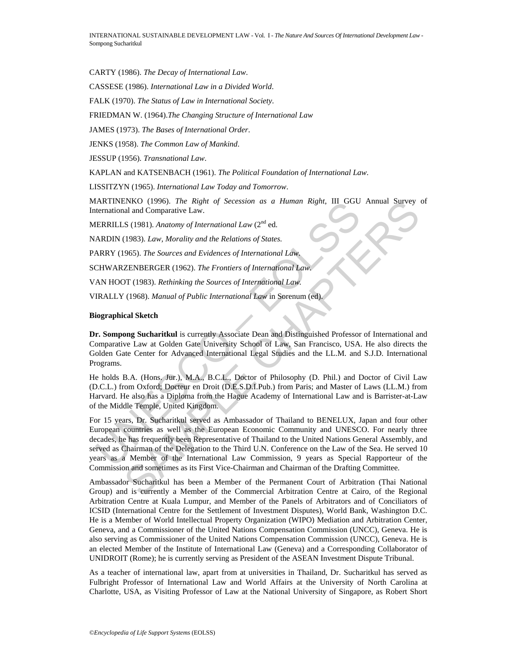CARTY (1986). *The Decay of International Law*.

CASSESE (1986). *International Law in a Divided World*.

FALK (1970). *The Status of Law in International Society*.

FRIEDMAN W. (1964).*The Changing Structure of International Law*

JAMES (1973). *The Bases of International Order*.

JENKS (1958). *The Common Law of Mankind*.

JESSUP (1956). *Transnational Law*.

KAPLAN and KATSENBACH (1961). *The Political Foundation of International Law*.

LISSITZYN (1965). *International Law Today and Tomorrow*.

MARTINENKO (1996). *The Right of Secession as a Human Right*, III GGU Annual Survey of International and Comparative Law.

MERRILLS (1981). *Anatomy of International Law* (2<sup>nd</sup> ed.

NARDIN (1983). *Law, Morality and the Relations of States.*

PARRY (1965). *The Sources and Evidences of International Law.*

SCHWARZENBERGER (1962). *The Frontiers of International Law.*

VAN HOOT (1983). *Rethinking the Sources of International Law.*

VIRALLY (1968). *Manual of Public International Law* in Sorenum (ed).

#### **Biographical Sketch**

**Dr. Sompong Sucharitkul** is currently Associate Dean and Distinguished Professor of International and Comparative Law at Golden Gate University School of Law, San Francisco, USA. He also directs the Golden Gate Center for Advanced International Legal Studies and the LL.M. and S.J.D. International Programs.

He holds B.A. (Hons. Jur.), M.A., B.C.L., Doctor of Philosophy (D. Phil.) and Doctor of Civil Law (D.C.L.) from Oxford; Docteur en Droit (D.E.S.D.I.Pub.) from Paris; and Master of Laws (LL.M.) from Harvard. He also has a Diploma from the Hague Academy of International Law and is Barrister-at-Law of the Middle Temple, United Kingdom.

THAKIVENO (1995). *Ine Kright of Secession as a Human Kight*, III GGU<br>
determinional and Comparative Law.<br>
ERRILLS (1981). Anatomy of International Law (2<sup>nd</sup> ed.<br>
ARDIN (1983). Law, Morality and the Relations of States.<br> ENGO (1996). The Right of Secession as a Human Right, III GGU Annual Survey<br>
and and Comparative Law.<br>
S. (1981). Anatomy of International Law (2<sup>nd</sup> ed.<br>
(1983). Law, Morality and the Relations of States.<br>
(1983). The So For 15 years, Dr. Sucharitkul served as Ambassador of Thailand to BENELUX, Japan and four other European countries as well as the European Economic Community and UNESCO. For nearly three decades, he has frequently been Representative of Thailand to the United Nations General Assembly, and served as Chairman of the Delegation to the Third U.N. Conference on the Law of the Sea. He served 10 years as a Member of the International Law Commission, 9 years as Special Rapporteur of the Commission and sometimes as its First Vice-Chairman and Chairman of the Drafting Committee.

Ambassador Sucharitkul has been a Member of the Permanent Court of Arbitration (Thai National Group) and is currently a Member of the Commercial Arbitration Centre at Cairo, of the Regional Arbitration Centre at Kuala Lumpur, and Member of the Panels of Arbitrators and of Conciliators of ICSID (International Centre for the Settlement of Investment Disputes), World Bank, Washington D.C. He is a Member of World Intellectual Property Organization (WIPO) Mediation and Arbitration Center, Geneva, and a Commissioner of the United Nations Compensation Commission (UNCC), Geneva. He is also serving as Commissioner of the United Nations Compensation Commission (UNCC), Geneva. He is an elected Member of the Institute of International Law (Geneva) and a Corresponding Collaborator of UNIDROIT (Rome); he is currently serving as President of the ASEAN Investment Dispute Tribunal.

As a teacher of international law, apart from at universities in Thailand, Dr. Sucharitkul has served as Fulbright Professor of International Law and World Affairs at the University of North Carolina at Charlotte, USA, as Visiting Professor of Law at the National University of Singapore, as Robert Short